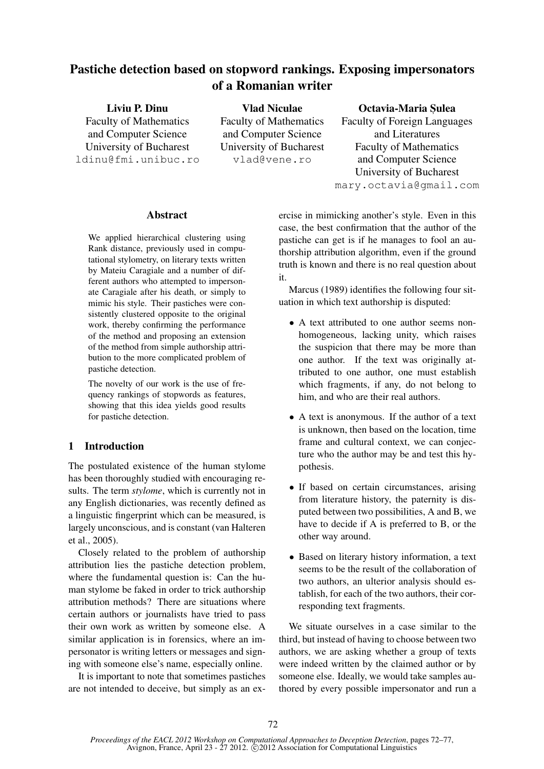# Pastiche detection based on stopword rankings. Exposing impersonators of a Romanian writer

Liviu P. Dinu Faculty of Mathematics and Computer Science University of Bucharest ldinu@fmi.unibuc.ro Vlad Niculae vlad@vene.ro

Faculty of Mathematics and Computer Science University of Bucharest

### Octavia-Maria Sulea

Faculty of Foreign Languages and Literatures Faculty of Mathematics and Computer Science University of Bucharest mary.octavia@gmail.com

#### Abstract

We applied hierarchical clustering using Rank distance, previously used in computational stylometry, on literary texts written by Mateiu Caragiale and a number of different authors who attempted to impersonate Caragiale after his death, or simply to mimic his style. Their pastiches were consistently clustered opposite to the original work, thereby confirming the performance of the method and proposing an extension of the method from simple authorship attribution to the more complicated problem of pastiche detection.

The novelty of our work is the use of frequency rankings of stopwords as features, showing that this idea yields good results for pastiche detection.

## 1 Introduction

The postulated existence of the human stylome has been thoroughly studied with encouraging results. The term *stylome*, which is currently not in any English dictionaries, was recently defined as a linguistic fingerprint which can be measured, is largely unconscious, and is constant (van Halteren et al., 2005).

Closely related to the problem of authorship attribution lies the pastiche detection problem, where the fundamental question is: Can the human stylome be faked in order to trick authorship attribution methods? There are situations where certain authors or journalists have tried to pass their own work as written by someone else. A similar application is in forensics, where an impersonator is writing letters or messages and signing with someone else's name, especially online.

It is important to note that sometimes pastiches are not intended to deceive, but simply as an exercise in mimicking another's style. Even in this case, the best confirmation that the author of the pastiche can get is if he manages to fool an authorship attribution algorithm, even if the ground truth is known and there is no real question about it.

Marcus (1989) identifies the following four situation in which text authorship is disputed:

- A text attributed to one author seems nonhomogeneous, lacking unity, which raises the suspicion that there may be more than one author. If the text was originally attributed to one author, one must establish which fragments, if any, do not belong to him, and who are their real authors.
- A text is anonymous. If the author of a text is unknown, then based on the location, time frame and cultural context, we can conjecture who the author may be and test this hypothesis.
- If based on certain circumstances, arising from literature history, the paternity is disputed between two possibilities, A and B, we have to decide if A is preferred to B, or the other way around.
- Based on literary history information, a text seems to be the result of the collaboration of two authors, an ulterior analysis should establish, for each of the two authors, their corresponding text fragments.

We situate ourselves in a case similar to the third, but instead of having to choose between two authors, we are asking whether a group of texts were indeed written by the claimed author or by someone else. Ideally, we would take samples authored by every possible impersonator and run a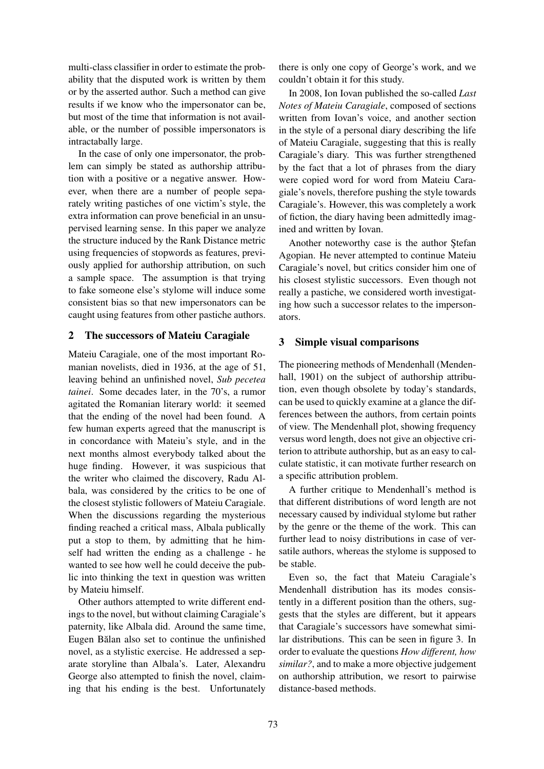multi-class classifier in order to estimate the probability that the disputed work is written by them or by the asserted author. Such a method can give results if we know who the impersonator can be, but most of the time that information is not available, or the number of possible impersonators is intractabally large.

In the case of only one impersonator, the problem can simply be stated as authorship attribution with a positive or a negative answer. However, when there are a number of people separately writing pastiches of one victim's style, the extra information can prove beneficial in an unsupervised learning sense. In this paper we analyze the structure induced by the Rank Distance metric using frequencies of stopwords as features, previously applied for authorship attribution, on such a sample space. The assumption is that trying to fake someone else's stylome will induce some consistent bias so that new impersonators can be caught using features from other pastiche authors.

### 2 The successors of Mateiu Caragiale

Mateiu Caragiale, one of the most important Romanian novelists, died in 1936, at the age of 51, leaving behind an unfinished novel, *Sub pecetea tainei*. Some decades later, in the 70's, a rumor agitated the Romanian literary world: it seemed that the ending of the novel had been found. A few human experts agreed that the manuscript is in concordance with Mateiu's style, and in the next months almost everybody talked about the huge finding. However, it was suspicious that the writer who claimed the discovery, Radu Albala, was considered by the critics to be one of the closest stylistic followers of Mateiu Caragiale. When the discussions regarding the mysterious finding reached a critical mass, Albala publically put a stop to them, by admitting that he himself had written the ending as a challenge - he wanted to see how well he could deceive the public into thinking the text in question was written by Mateiu himself.

Other authors attempted to write different endings to the novel, but without claiming Caragiale's paternity, like Albala did. Around the same time, Eugen Bălan also set to continue the unfinished novel, as a stylistic exercise. He addressed a separate storyline than Albala's. Later, Alexandru George also attempted to finish the novel, claiming that his ending is the best. Unfortunately there is only one copy of George's work, and we couldn't obtain it for this study.

In 2008, Ion Iovan published the so-called *Last Notes of Mateiu Caragiale*, composed of sections written from Iovan's voice, and another section in the style of a personal diary describing the life of Mateiu Caragiale, suggesting that this is really Caragiale's diary. This was further strengthened by the fact that a lot of phrases from the diary were copied word for word from Mateiu Caragiale's novels, therefore pushing the style towards Caragiale's. However, this was completely a work of fiction, the diary having been admittedly imagined and written by Iovan.

Another noteworthy case is the author Stefan Agopian. He never attempted to continue Mateiu Caragiale's novel, but critics consider him one of his closest stylistic successors. Even though not really a pastiche, we considered worth investigating how such a successor relates to the impersonators.

### 3 Simple visual comparisons

The pioneering methods of Mendenhall (Mendenhall, 1901) on the subject of authorship attribution, even though obsolete by today's standards, can be used to quickly examine at a glance the differences between the authors, from certain points of view. The Mendenhall plot, showing frequency versus word length, does not give an objective criterion to attribute authorship, but as an easy to calculate statistic, it can motivate further research on a specific attribution problem.

A further critique to Mendenhall's method is that different distributions of word length are not necessary caused by individual stylome but rather by the genre or the theme of the work. This can further lead to noisy distributions in case of versatile authors, whereas the stylome is supposed to be stable.

Even so, the fact that Mateiu Caragiale's Mendenhall distribution has its modes consistently in a different position than the others, suggests that the styles are different, but it appears that Caragiale's successors have somewhat similar distributions. This can be seen in figure 3. In order to evaluate the questions *How different, how similar?*, and to make a more objective judgement on authorship attribution, we resort to pairwise distance-based methods.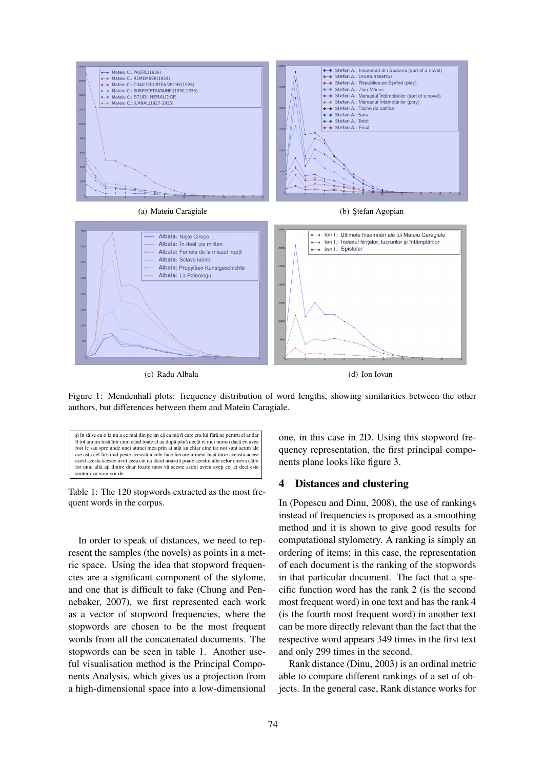

Figure 1: Mendenhall plots: frequency distribution of word lengths, showing similarities between the other authors, but differences between them and Mateiu Caragiale.

și în să se cu o la nu a ce mai din pe un că ca mă fi care era lui fără ne pentru el ar dar îl tot am mi însă într cum când toate al aa după până decât ei nici numai dacă eu avea fost le sau spre unde unei atunci mea prin ai atât au chiar cine iar noi sunt acum ale are asta cel fie fiind peste această a cele face fiecare nimeni încă între aceasta aceea acest acesta acestei avut ceea cât da făcut noastră poate acestui alte celor cineva către lor unui altă ati dintre doar foarte unor vă aceste astfel avem aveti cei ci deci este suntem va vom vor de

Table 1: The 120 stopwords extracted as the most frequent words in the corpus.

In order to speak of distances, we need to represent the samples (the novels) as points in a metric space. Using the idea that stopword frequencies are a significant component of the stylome, and one that is difficult to fake (Chung and Pennebaker, 2007), we first represented each work as a vector of stopword frequencies, where the stopwords are chosen to be the most frequent words from all the concatenated documents. The stopwords can be seen in table 1. Another useful visualisation method is the Principal Components Analysis, which gives us a projection from a high-dimensional space into a low-dimensional one, in this case in 2D. Using this stopword frequency representation, the first principal components plane looks like figure 3.

#### 4 Distances and clustering

In (Popescu and Dinu, 2008), the use of rankings instead of frequencies is proposed as a smoothing method and it is shown to give good results for computational stylometry. A ranking is simply an ordering of items; in this case, the representation of each document is the ranking of the stopwords in that particular document. The fact that a specific function word has the rank 2 (is the second most frequent word) in one text and has the rank 4 (is the fourth most frequent word) in another text can be more directly relevant than the fact that the respective word appears 349 times in the first text and only 299 times in the second.

Rank distance (Dinu, 2003) is an ordinal metric able to compare different rankings of a set of objects. In the general case, Rank distance works for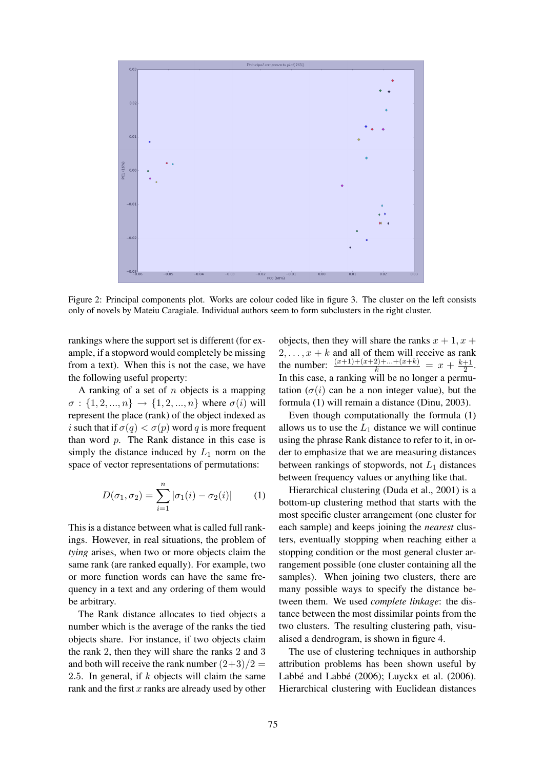

Figure 2: Principal components plot. Works are colour coded like in figure 3. The cluster on the left consists only of novels by Mateiu Caragiale. Individual authors seem to form subclusters in the right cluster.

rankings where the support set is different (for example, if a stopword would completely be missing from a text). When this is not the case, we have the following useful property:

A ranking of a set of  $n$  objects is a mapping  $\sigma : \{1, 2, ..., n\} \to \{1, 2, ..., n\}$  where  $\sigma(i)$  will represent the place (rank) of the object indexed as i such that if  $\sigma(q) < \sigma(p)$  word q is more frequent than word  $p$ . The Rank distance in this case is simply the distance induced by  $L_1$  norm on the space of vector representations of permutations:

$$
D(\sigma_1, \sigma_2) = \sum_{i=1}^{n} |\sigma_1(i) - \sigma_2(i)| \qquad (1)
$$

This is a distance between what is called full rankings. However, in real situations, the problem of *tying* arises, when two or more objects claim the same rank (are ranked equally). For example, two or more function words can have the same frequency in a text and any ordering of them would be arbitrary.

The Rank distance allocates to tied objects a number which is the average of the ranks the tied objects share. For instance, if two objects claim the rank 2, then they will share the ranks 2 and 3 and both will receive the rank number  $(2+3)/2 =$ 2.5. In general, if  $k$  objects will claim the same rank and the first  $x$  ranks are already used by other objects, then they will share the ranks  $x + 1$ ,  $x +$  $2, \ldots, x + k$  and all of them will receive as rank the number:  $\frac{(x+1)+(x+2)+...+(x+k)}{k} = x + \frac{k+1}{2}$  $rac{+1}{2}$ . In this case, a ranking will be no longer a permutation  $(\sigma(i))$  can be a non integer value), but the formula (1) will remain a distance (Dinu, 2003).

Even though computationally the formula (1) allows us to use the  $L_1$  distance we will continue using the phrase Rank distance to refer to it, in order to emphasize that we are measuring distances between rankings of stopwords, not  $L_1$  distances between frequency values or anything like that.

Hierarchical clustering (Duda et al., 2001) is a bottom-up clustering method that starts with the most specific cluster arrangement (one cluster for each sample) and keeps joining the *nearest* clusters, eventually stopping when reaching either a stopping condition or the most general cluster arrangement possible (one cluster containing all the samples). When joining two clusters, there are many possible ways to specify the distance between them. We used *complete linkage*: the distance between the most dissimilar points from the two clusters. The resulting clustering path, visualised a dendrogram, is shown in figure 4.

The use of clustering techniques in authorship attribution problems has been shown useful by Labbé and Labbé  $(2006)$ ; Luyckx et al.  $(2006)$ . Hierarchical clustering with Euclidean distances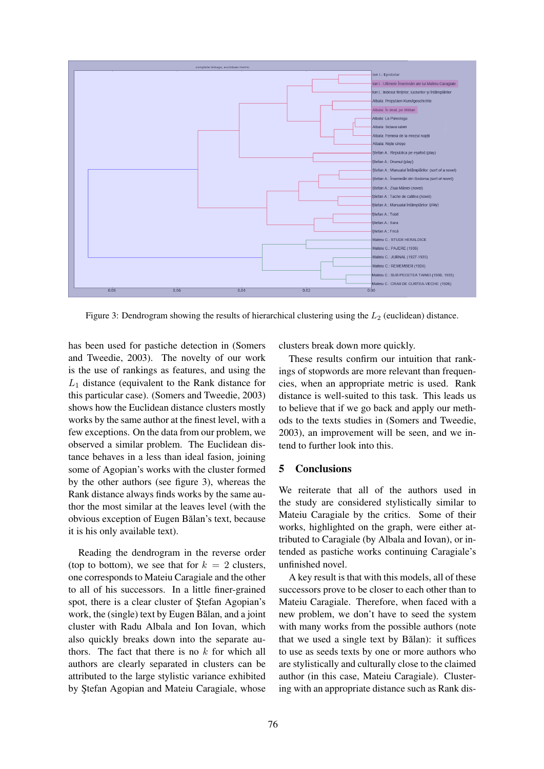

Figure 3: Dendrogram showing the results of hierarchical clustering using the  $L_2$  (euclidean) distance.

has been used for pastiche detection in (Somers and Tweedie, 2003). The novelty of our work is the use of rankings as features, and using the  $L_1$  distance (equivalent to the Rank distance for this particular case). (Somers and Tweedie, 2003) shows how the Euclidean distance clusters mostly works by the same author at the finest level, with a few exceptions. On the data from our problem, we observed a similar problem. The Euclidean distance behaves in a less than ideal fasion, joining some of Agopian's works with the cluster formed by the other authors (see figure 3), whereas the Rank distance always finds works by the same author the most similar at the leaves level (with the obvious exception of Eugen Bălan's text, because it is his only available text).

Reading the dendrogram in the reverse order (top to bottom), we see that for  $k = 2$  clusters, one corresponds to Mateiu Caragiale and the other to all of his successors. In a little finer-grained spot, there is a clear cluster of Stefan Agopian's work, the (single) text by Eugen Bălan, and a joint cluster with Radu Albala and Ion Iovan, which also quickly breaks down into the separate authors. The fact that there is no  $k$  for which all authors are clearly separated in clusters can be attributed to the large stylistic variance exhibited by Stefan Agopian and Mateiu Caragiale, whose clusters break down more quickly.

These results confirm our intuition that rankings of stopwords are more relevant than frequencies, when an appropriate metric is used. Rank distance is well-suited to this task. This leads us to believe that if we go back and apply our methods to the texts studies in (Somers and Tweedie, 2003), an improvement will be seen, and we intend to further look into this.

#### 5 Conclusions

We reiterate that all of the authors used in the study are considered stylistically similar to Mateiu Caragiale by the critics. Some of their works, highlighted on the graph, were either attributed to Caragiale (by Albala and Iovan), or intended as pastiche works continuing Caragiale's unfinished novel.

A key result is that with this models, all of these successors prove to be closer to each other than to Mateiu Caragiale. Therefore, when faced with a new problem, we don't have to seed the system with many works from the possible authors (note that we used a single text by Bălan): it suffices to use as seeds texts by one or more authors who are stylistically and culturally close to the claimed author (in this case, Mateiu Caragiale). Clustering with an appropriate distance such as Rank dis-